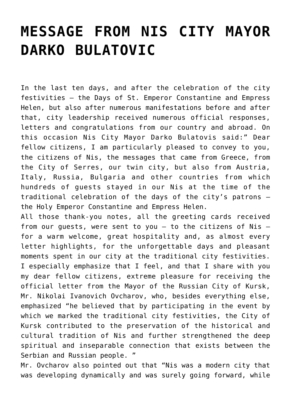## **[MESSAGE FROM NIS CITY MAYOR](https://www.gu.ni.rs/2018/06/15/message-from-nis-city-mayor-darko-bulatovic/) [DARKO BULATOVIC](https://www.gu.ni.rs/2018/06/15/message-from-nis-city-mayor-darko-bulatovic/)**

In the last ten days, and after the celebration of the city festivities – the Days of St. Emperor Constantine and Empress Helen, but also after numerous manifestations before and after that, city leadership received numerous official responses, letters and congratulations from our country and abroad. On this occasion Nis City Mayor Darko Bulatovis said:" Dear fellow citizens, I am particularly pleased to convey to you, the citizens of Nis, the messages that came from Greece, from the City of Serres, our twin city, but also from Austria, Italy, Russia, Bulgaria and other countries from which hundreds of guests stayed in our Nis at the time of the traditional celebration of the days of the city's patrons – the Holy Emperor Constantine and Empress Helen.

All those thank-you notes, all the greeting cards received from our guests, were sent to you – to the citizens of Nis – for a warm welcome, great hospitality and, as almost every letter highlights, for the unforgettable days and pleasant moments spent in our city at the traditional city festivities. I especially emphasize that I feel, and that I share with you my dear fellow citizens, extreme pleasure for receiving the official letter from the Mayor of the Russian City of Kursk, Mr. Nikolai Ivanovich Ovcharov, who, besides everything else, emphasized "he believed that by participating in the event by which we marked the traditional city festivities, the City of Kursk contributed to the preservation of the historical and cultural tradition of Nis and further strengthened the deep spiritual and inseparable connection that exists between the Serbian and Russian people. "

Mr. Ovcharov also pointed out that "Nis was a modern city that was developing dynamically and was surely going forward, while